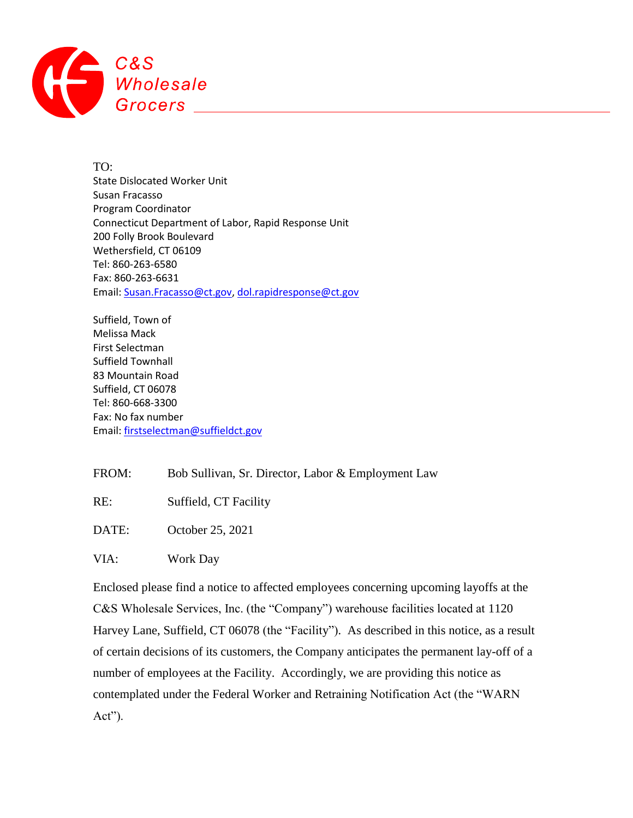

TO: State Dislocated Worker Unit Susan Fracasso Program Coordinator Connecticut Department of Labor, Rapid Response Unit 200 Folly Brook Boulevard Wethersfield, CT 06109 Tel: 860-263-6580 Fax: 860-263-6631 Email: [Susan.Fracasso@ct.gov,](mailto:Susan.Fracasso@ct.gov) [dol.rapidresponse@ct.gov](mailto:dol.rapidresponse@ct.gov)

Suffield, Town of Melissa Mack First Selectman Suffield Townhall 83 Mountain Road Suffield, CT 06078 Tel: 860-668-3300 Fax: No fax number Email: [firstselectman@suffieldct.gov](mailto:firstselectman@suffieldct.gov)

FROM: Bob Sullivan, Sr. Director, Labor & Employment Law

RE: Suffield, CT Facility

DATE: October 25, 2021

VIA: Work Day

Enclosed please find a notice to affected employees concerning upcoming layoffs at the C&S Wholesale Services, Inc. (the "Company") warehouse facilities located at 1120 Harvey Lane, Suffield, CT 06078 (the "Facility"). As described in this notice, as a result of certain decisions of its customers, the Company anticipates the permanent lay-off of a number of employees at the Facility. Accordingly, we are providing this notice as contemplated under the Federal Worker and Retraining Notification Act (the "WARN Act").